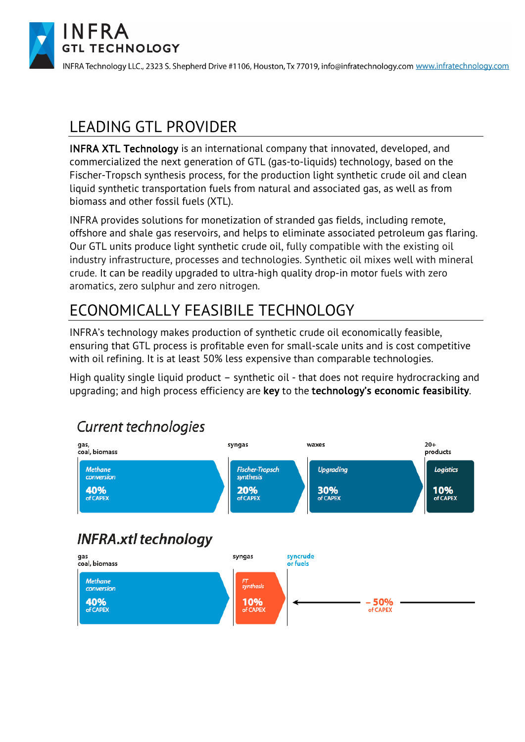

INFRA Technology LLC., 2323 S. Shepherd Drive #1106, Houston, Tx 77019, info@infratechnology.com www.infratechnology.com

### LEADING GTL PROVIDER

INFRA XTL Technology is an international company that innovated, developed, and commercialized the next generation of GTL (gas-to-liquids) technology, based on the Fischer-Tropsch synthesis process, for the production light synthetic crude oil and clean liquid synthetic transportation fuels from natural and associated gas, as well as from biomass and other fossil fuels (XTL).

INFRA provides solutions for monetization of stranded gas fields, including remote, offshore and shale gas reservoirs, and helps to eliminate associated petroleum gas flaring. Our GTL units produce light synthetic crude oil, fully compatible with the existing oil industry infrastructure, processes and technologies. Synthetic oil mixes well with mineral crude. It can be readily upgraded to ultra-high quality drop-in motor fuels with zero aromatics, zero sulphur and zero nitrogen.

# ECONOMICALLY FEASIBILE TECHNOLOGY

INFRA's technology makes production of synthetic crude oil economically feasible, ensuring that GTL process is profitable even for small-scale units and is cost competitive with oil refining. It is at least 50% less expensive than comparable technologies.

High quality single liquid product – synthetic oil - that does not require hydrocracking and upgrading; and high process efficiency are key to the technology's economic feasibility.

#### **Current technologies**

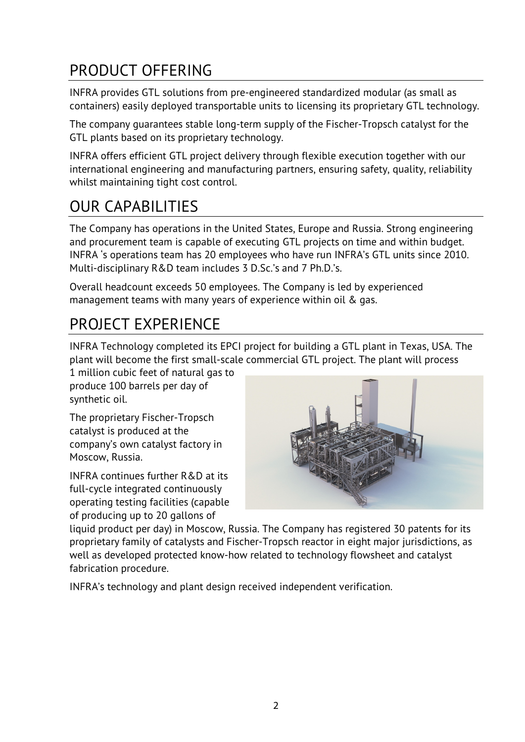## PRODUCT OFFERING

INFRA provides GTL solutions from pre-engineered standardized modular (as small as containers) easily deployed transportable units to licensing its proprietary GTL technology.

The company guarantees stable long-term supply of the Fischer-Tropsch catalyst for the GTL plants based on its proprietary technology.

INFRA offers efficient GTL project delivery through flexible execution together with our international engineering and manufacturing partners, ensuring safety, quality, reliability whilst maintaining tight cost control.

## OUR CAPABILITIES

The Company has operations in the United States, Europe and Russia. Strong engineering and procurement team is capable of executing GTL projects on time and within budget. INFRA 's operations team has 20 employees who have run INFRA's GTL units since 2010. Multi-disciplinary R&D team includes 3 D.Sc.'s and 7 Ph.D.'s.

Overall headcount exceeds 50 employees. The Company is led by experienced management teams with many years of experience within oil & gas.

### PROJECT EXPERIENCE

INFRA Technology completed its EPCI project for building a GTL plant in Texas, USA. The plant will become the first small-scale commercial GTL project. The plant will process

1 million cubic feet of natural gas to produce 100 barrels per day of synthetic oil.

The proprietary Fischer-Tropsch catalyst is produced at the company's own catalyst factory in Moscow, Russia.

INFRA continues further R&D at its full-cycle integrated continuously operating testing facilities (capable of producing up to 20 gallons of



liquid product per day) in Moscow, Russia. The Company has registered 30 patents for its proprietary family of catalysts and Fischer-Tropsch reactor in eight major jurisdictions, as well as developed protected know-how related to technology flowsheet and catalyst fabrication procedure.

INFRA's technology and plant design received independent verification.